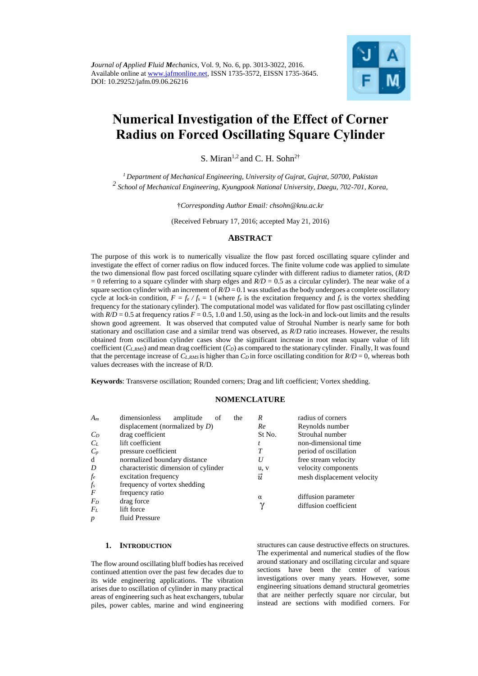

# **Numerical Investigation of the Effect of Corner Radius on Forced Oscillating Square Cylinder**

S. Miran<sup>1,2</sup> and C. H. Sohn<sup>2†</sup>

*<sup>1</sup> Department of Mechanical Engineering, University of Gujrat, Gujrat, 50700, Pakistan <sup>2</sup>School of Mechanical Engineering, Kyungpook National University, Daegu, 702-701, Korea,*

†*Corresponding Author Email: [chsohn@knu.ac.kr](mailto:chsohn@knu.ac.kr)*

(Received February 17, 2016; accepted May 21, 2016)

## **ABSTRACT**

The purpose of this work is to numerically visualize the flow past forced oscillating square cylinder and investigate the effect of corner radius on flow induced forces. The finite volume code was applied to simulate the two dimensional flow past forced oscillating square cylinder with different radius to diameter ratios, (*R/D*  $= 0$  referring to a square cylinder with sharp edges and  $R/D = 0.5$  as a circular cylinder). The near wake of a square section cylinder with an increment of  $R/D = 0.1$  was studied as the body undergoes a complete oscillatory cycle at lock-in condition,  $F = f_e / f_s = 1$  (where  $f_e$  is the excitation frequency and  $f_s$  is the vortex shedding frequency for the stationary cylinder). The computational model was validated for flow past oscillating cylinder with  $R/D = 0.5$  at frequency ratios  $F = 0.5$ , 1.0 and 1.50, using as the lock-in and lock-out limits and the results shown good agreement. It was observed that computed value of Strouhal Number is nearly same for both stationary and oscillation case and a similar trend was observed, as *R/D* ratio increases. However, the results obtained from oscillation cylinder cases show the significant increase in root mean square value of lift coefficient  $(C_{L,RMS})$  and mean drag coefficient  $(C_D)$  as compared to the stationary cylinder. Finally, It was found that the percentage increase of  $C_{L, RMS}$  is higher than  $C_D$  in force oscillating condition for  $R/D = 0$ , whereas both values decreases with the increase of R/D.

**Keywords**: Transverse oscillation; Rounded corners; Drag and lift coefficient; Vortex shedding.

# **NOMENCLATURE**

| $A_m$            | dimensionless<br>amplitude<br>the<br>οt | R                    | radius of corners          |
|------------------|-----------------------------------------|----------------------|----------------------------|
|                  | displacement (normalized by $D$ )       | Re                   | Reynolds number            |
| $C_D$            | drag coefficient                        | St No.               | Strouhal number            |
| $C_L$            | lift coefficient                        |                      | non-dimensional time       |
| $C_p$            | pressure coefficient                    | T                    | period of oscillation      |
| d                | normalized boundary distance            | U                    | free stream velocity       |
| D                | characteristic dimension of cylinder    | u, v                 | velocity components        |
| $f_e$            | excitation frequency                    | $\vec{u}$            | mesh displacement velocity |
| $f_{s}$          | frequency of vortex shedding            |                      |                            |
| $\boldsymbol{F}$ | frequency ratio                         |                      |                            |
| $F_D$            | drag force                              | $\alpha$<br>$\gamma$ | diffusion parameter        |
| $F_L$            | lift force                              |                      | diffusion coefficient      |
| $\boldsymbol{p}$ | fluid Pressure                          |                      |                            |

# **1. INTRODUCTION**

The flow around oscillating bluff bodies has received continued attention over the past few decades due to its wide engineering applications. The vibration arises due to oscillation of cylinder in many practical areas of engineering such as heat exchangers, tubular piles, power cables, marine and wind engineering structures can cause destructive effects on structures. The experimental and numerical studies of the flow around stationary and oscillating circular and square sections have been the center of various investigations over many years. However, some engineering situations demand structural geometries that are neither perfectly square nor circular, but instead are sections with modified corners. For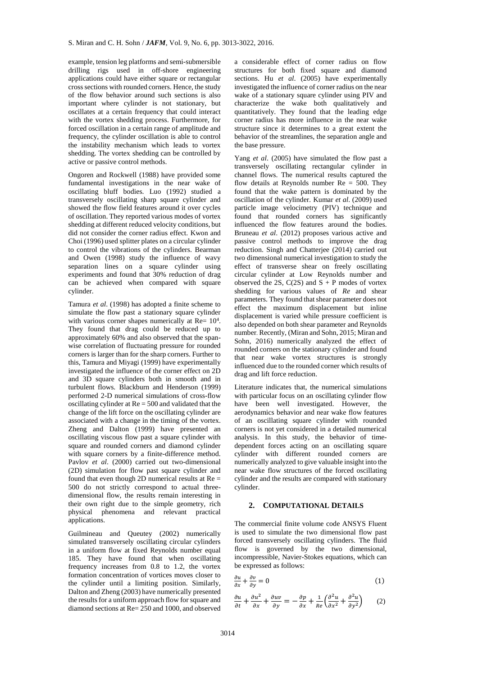example, tension leg platforms and semi-submersible drilling rigs used in off-shore engineering applications could have either square or rectangular cross sections with rounded corners. Hence, the study of the flow behavior around such sections is also important where cylinder is not stationary, but oscillates at a certain frequency that could interact with the vortex shedding process. Furthermore, for forced oscillation in a certain range of amplitude and frequency, the cylinder oscillation is able to control the instability mechanism which leads to vortex shedding. The vortex shedding can be controlled by active or passive control methods.

[Ongoren and Rockwell \(1988\)](#page-8-0) have provided some fundamental investigations in the near wake of oscillating bluff bodies. [Luo \(1992\)](#page-8-1) studied a transversely oscillating sharp square cylinder and showed the flow field features around it over cycles of oscillation. They reported various modes of vortex shedding at different reduced velocity conditions, but did not consider the corner radius effect. [Kwon and](#page-8-2)  [Choi \(1996\)](#page-8-2) used splitter plates on a circular cylinder to control the vibrations of the cylinders. [Bearman](#page-8-3)  [and Owen \(1998\)](#page-8-3) study the influence of wavy separation lines on a square cylinder using experiments and found that 30% reduction of drag can be achieved when compared with square cylinder.

[Tamura](#page-9-0) *et al*. (1998) has adopted a finite scheme to simulate the flow past a stationary square cylinder with various corner shapes numerically at  $Re = 10<sup>4</sup>$ . They found that drag could be reduced up to approximately 60% and also observed that the spanwise correlation of fluctuating pressure for rounded corners is larger than for the sharp corners. Further to this[, Tamura and Miyagi \(1999\)](#page-9-1) have experimentally investigated the influence of the corner effect on 2D and 3D square cylinders both in smooth and in turbulent flows. [Blackburn and Henderson \(1999\)](#page-8-4) performed 2-D numerical simulations of cross-flow oscillating cylinder at  $Re = 500$  and validated that the change of the lift force on the oscillating cylinder are associated with a change in the timing of the vortex. [Zheng and Dalton \(1999\)](#page-9-2) have presented an oscillating viscous flow past a square cylinder with square and rounded corners and diamond cylinder with square corners by a finite-difference method. Pavlov *et al*[. \(2000\)](#page-8-5) carried out two-dimensional (2D) simulation for flow past square cylinder and found that even though 2D numerical results at  $Re =$ 500 do not strictly correspond to actual threedimensional flow, the results remain interesting in their own right due to the simple geometry, rich physical phenomena and relevant practical applications.

[Guilmineau and Queutey \(2002\)](#page-8-6) numerically simulated transversely oscillating circular cylinders in a uniform flow at fixed Reynolds number equal 185. They have found that when oscillating frequency increases from 0.8 to 1.2, the vortex formation concentration of vortices moves closer to the cylinder until a limiting position. Similarly, [Dalton and Zheng \(2003\)](#page-8-7) have numerically presented the results for a uniform approach flow for square and diamond sections at Re= 250 and 1000, and observed

a considerable effect of corner radius on flow structures for both fixed square and diamond sections. Hu *et al*[. \(2005\)](#page-8-8) have experimentally investigated the influence of corner radius on the near wake of a stationary square cylinder using PIV and characterize the wake both qualitatively and quantitatively. They found that the leading edge corner radius has more influence in the near wake structure since it determines to a great extent the behavior of the streamlines, the separation angle and the base pressure.

Yang *et al*[. \(2005\)](#page-9-3) have simulated the flow past a transversely oscillating rectangular cylinder in channel flows. The numerical results captured the flow details at Reynolds number  $Re = 500$ . They found that the wake pattern is dominated by the oscillation of the cylinder. [Kumar](#page-8-9) *et al*. (2009) used particle image velocimetry (PIV) technique and found that rounded corners has significantly influenced the flow features around the bodies. [Bruneau](#page-8-10) *et al*. (2012) proposes various active and passive control methods to improve the drag reduction. [Singh and Chatterjee \(2014\)](#page-8-11) carried out two dimensional numerical investigation to study the effect of transverse shear on freely oscillating circular cylinder at Low Reynolds number and observed the 2S,  $C(2S)$  and  $S + P$  modes of vortex shedding for various values of *Re* and shear parameters. They found that shear parameter does not effect the maximum displacement but inline displacement is varied while pressure coefficient is also depended on both shear parameter and Reynolds number. Recently, [\(Miran and Sohn, 2015;](#page-8-12) [Miran and](#page-8-13)  [Sohn, 2016\)](#page-8-13) numerically analyzed the effect of rounded corners on the stationary cylinder and found that near wake vortex structures is strongly influenced due to the rounded corner which results of drag and lift force reduction.

Literature indicates that, the numerical simulations with particular focus on an oscillating cylinder flow have been well investigated. However, the aerodynamics behavior and near wake flow features of an oscillating square cylinder with rounded corners is not yet considered in a detailed numerical analysis. In this study, the behavior of timedependent forces acting on an oscillating square cylinder with different rounded corners are numerically analyzed to give valuable insight into the near wake flow structures of the forced oscillating cylinder and the results are compared with stationary cylinder.

#### **2. COMPUTATIONAL DETAILS**

The commercial finite volume code ANSYS Fluent is used to simulate the two dimensional flow past forced transversely oscillating cylinders. The fluid flow is governed by the two dimensional, incompressible, Navier-Stokes equations, which can be expressed as follows:

$$
\frac{\partial u}{\partial x} + \frac{\partial v}{\partial y} = 0\tag{1}
$$

$$
\frac{\partial u}{\partial t} + \frac{\partial u^2}{\partial x} + \frac{\partial uv}{\partial y} = -\frac{\partial p}{\partial x} + \frac{1}{Re} \left( \frac{\partial^2 u}{\partial x^2} + \frac{\partial^2 u}{\partial y^2} \right) \tag{2}
$$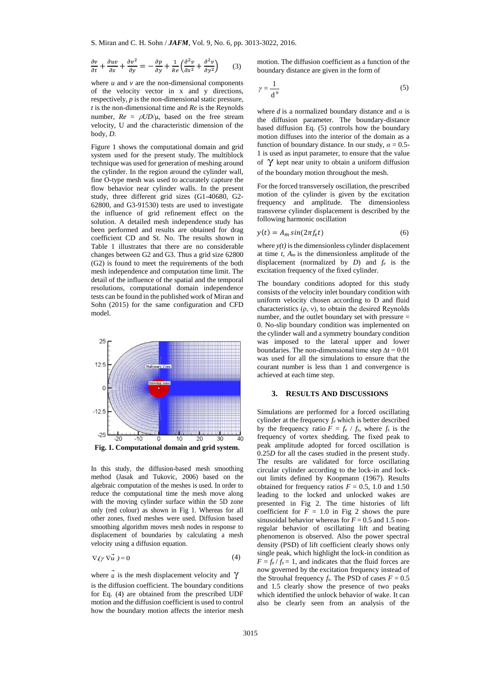$$
\frac{\partial v}{\partial t} + \frac{\partial uv}{\partial x} + \frac{\partial v^2}{\partial y} = -\frac{\partial p}{\partial y} + \frac{1}{Re} \left( \frac{\partial^2 v}{\partial x^2} + \frac{\partial^2 v}{\partial y^2} \right) \tag{3}
$$

where  $u$  and  $v$  are the non-dimensional components of the velocity vector in x and y directions, respectively, *p* is the non-dimensional static pressure, *t* is the non-dimensional time and *Re* is the Reynolds number,  $Re = ρUD/μ$ , based on the free stream velocity, U and the characteristic dimension of the body, *D*.

Figure 1 shows the computational domain and grid system used for the present study. The multiblock technique was used for generation of meshing around the cylinder. In the region around the cylinder wall, fine O-type mesh was used to accurately capture the flow behavior near cylinder walls. In the present study, three different grid sizes (G1-40680, G2- 62800, and G3-91530) tests are used to investigate the influence of grid refinement effect on the solution. A detailed mesh independence study has been performed and results are obtained for drag coefficient CD and St. No. The results shown in Table 1 illustrates that there are no considerable changes between G2 and G3. Thus a grid size 62800 (G2) is found to meet the requirements of the both mesh independence and computation time limit. The detail of the influence of the spatial and the temporal resolutions, computational domain independence tests can be found in the published work o[f Miran and](#page-8-12) [Sohn \(2015\)](#page-8-12) for the same configuration and CFD model.



In this study, the diffusion-based mesh smoothing method [\(Jasak and Tukovic, 2006\)](#page-8-14) based on the algebraic computation of the meshes is used. In order to reduce the computational time the mesh move along with the moving cylinder surface within the 5D zone only (red colour) as shown in Fig 1. Whereas for all other zones, fixed meshes were used. Diffusion based smoothing algorithm moves mesh nodes in response to displacement of boundaries by calculating a mesh velocity using a diffusion equation.

$$
\nabla(\gamma \nabla \vec{u}) = 0 \tag{4}
$$

where  $\vec{u}$  is the mesh displacement velocity and  $\gamma$ is the diffusion coefficient. The boundary conditions for Eq. (4) are obtained from the prescribed UDF motion and the diffusion coefficient is used to control how the boundary motion affects the interior mesh motion. The diffusion coefficient as a function of the boundary distance are given in the form of

$$
\gamma = \frac{1}{d^{\alpha}}\tag{5}
$$

where *d* is a normalized boundary distance and *α* is the diffusion parameter. The boundary-distance based diffusion Eq. (5) controls how the boundary motion diffuses into the interior of the domain as a function of boundary distance. In our study,  $\alpha = 0.5$ -1 is used as input parameter, to ensure that the value I is used as input parameter, to ensure that the value<br>of  $\gamma$  kept near unity to obtain a uniform diffusion of the boundary motion throughout the mesh.

For the forced transversely oscillation, the prescribed motion of the cylinder is given by the excitation frequency and amplitude. The dimensionless transverse cylinder displacement is described by the following harmonic oscillation

$$
y(t) = A_m \sin(2\pi f_e t) \tag{6}
$$

where  $y(t)$  is the dimensionless cylinder displacement at time *t*, *Am* is the dimensionless amplitude of the displacement (normalized by *D*) and *f<sup>e</sup>* is the excitation frequency of the fixed cylinder.

The boundary conditions adopted for this study consists of the velocity inlet boundary condition with uniform velocity chosen according to D and fluid characteristics (ρ, ν), to obtain the desired Reynolds number, and the outlet boundary set with pressure = 0. No-slip boundary condition was implemented on the cylinder wall and a symmetry boundary condition was imposed to the lateral upper and lower boundaries. The non-dimensional time step  $\Delta t = 0.01$ was used for all the simulations to ensure that the courant number is less than 1 and convergence is achieved at each time step.

#### **3. RESULTS AND DISCUSSIONS**

Simulations are performed for a forced oscillating cylinder at the frequency *f<sup>e</sup>* which is better described by the frequency ratio  $F = f_e / f_s$ , where  $f_s$  is the frequency of vortex shedding. The fixed peak to peak amplitude adopted for forced oscillation is 0.25*D* for all the cases studied in the present study. The results are validated for force oscillating circular cylinder according to the lock-in and lockout limits defined by [Koopmann \(1967\)](#page-8-15). Results obtained for frequency ratios  $F = 0.5$ , 1.0 and 1.50 leading to the locked and unlocked wakes are presented in Fig 2. The time histories of lift coefficient for  $F = 1.0$  in Fig 2 shows the pure sinusoidal behavior whereas for  $F = 0.5$  and 1.5 nonregular behavior of oscillating lift and beating phenomenon is observed. Also the power spectral density (PSD) of lift coefficient clearly shows only single peak, which highlight the lock-in condition as  $F = f_e / f_s = 1$ , and indicates that the fluid forces are now governed by the excitation frequency instead of the Strouhal frequency  $f_s$ . The PSD of cases  $F = 0.5$ and 1.5 clearly show the presence of two peaks which identified the unlock behavior of wake. It can also be clearly seen from an analysis of the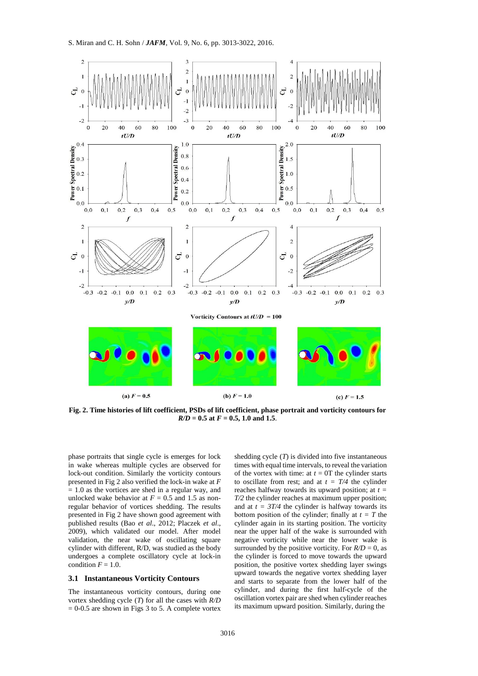

**Fig. 2. Time histories of lift coefficient, PSDs of lift coefficient, phase portrait and vorticity contours for**  *R/D =* **0.5 at** *F* **= 0.5, 1.0 and 1.5**.

phase portraits that single cycle is emerges for lock in wake whereas multiple cycles are observed for lock-out condition. Similarly the vorticity contours presented in Fig 2 also verified the lock-in wake at *F*  $= 1.0$  as the vortices are shed in a regular way, and unlocked wake behavior at  $F = 0.5$  and 1.5 as nonregular behavior of vortices shedding. The results presented in Fig 2 have shown good agreement with published results (Bao *et al*[., 2012;](#page-8-16) [Placzek](#page-8-17) *et al*., [2009\)](#page-8-17), which validated our model. After model validation, the near wake of oscillating square cylinder with different, R/D, was studied as the body undergoes a complete oscillatory cycle at lock-in condition  $F = 1.0$ .

#### **3.1 Instantaneous Vorticity Contours**

The instantaneous vorticity contours, during one vortex shedding cycle (*T*) for all the cases with *R/D*  $= 0.5$  are shown in Figs 3 to 5. A complete vortex shedding cycle (*T*) is divided into five instantaneous times with equal time intervals, to reveal the variation of the vortex with time: at  $t = 0$ T the cylinder starts to oscillate from rest; and at  $t = T/4$  the cylinder reaches halfway towards its upward position; at *t = T/2* the cylinder reaches at maximum upper position: and at  $t = 3T/4$  the cylinder is halfway towards its bottom position of the cylinder; finally at  $t = T$  the cylinder again in its starting position. The vorticity near the upper half of the wake is surrounded with negative vorticity while near the lower wake is surrounded by the positive vorticity. For  $R/D = 0$ , as the cylinder is forced to move towards the upward position, the positive vortex shedding layer swings upward towards the negative vortex shedding layer and starts to separate from the lower half of the cylinder, and during the first half-cycle of the oscillation vortex pair are shed when cylinder reaches its maximum upward position. Similarly, during the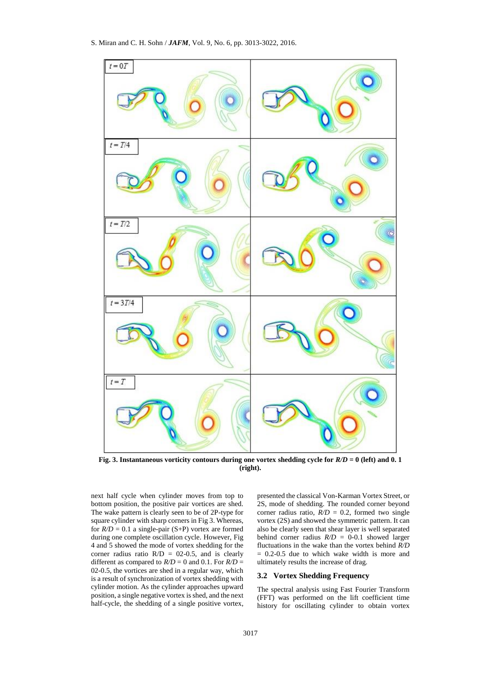

**Fig. 3. Instantaneous vorticity contours during one vortex shedding cycle for** *R/D* **= 0 (left) and 0. 1 (right).**

next half cycle when cylinder moves from top to bottom position, the positive pair vortices are shed. The wake pattern is clearly seen to be of 2P-type for square cylinder with sharp corners in Fig 3. Whereas, for  $R/D = 0.1$  a single-pair (S+P) vortex are formed during one complete oscillation cycle. However, Fig 4 and 5 showed the mode of vortex shedding for the corner radius ratio  $R/D = 02-0.5$ , and is clearly different as compared to  $R/D = 0$  and 0.1. For  $R/D = 0$ 02-0.5, the vortices are shed in a regular way, which is a result of synchronization of vortex shedding with cylinder motion. As the cylinder approaches upward position, a single negative vortex is shed, and the next half-cycle, the shedding of a single positive vortex, presented the classical Von-Karman Vortex Street, or 2S, mode of shedding. The rounded corner beyond corner radius ratio,  $R/D = 0.2$ , formed two single vortex (2S) and showed the symmetric pattern. It can also be clearly seen that shear layer is well separated behind corner radius  $R/D = 0.01$  showed larger fluctuations in the wake than the vortex behind *R/D* = 0.2-0.5 due to which wake width is more and ultimately results the increase of drag.

#### **3.2 Vortex Shedding Frequency**

The spectral analysis using Fast Fourier Transform (FFT) was performed on the lift coefficient time history for oscillating cylinder to obtain vortex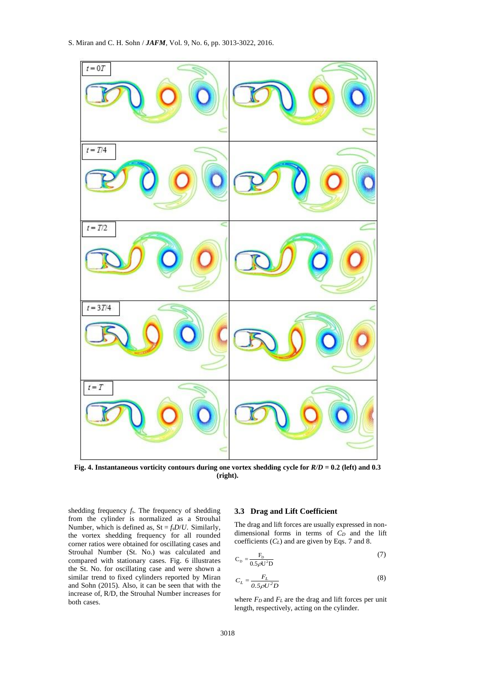

**Fig. 4. Instantaneous vorticity contours during one vortex shedding cycle for** *R/D* **= 0.2 (left) and 0.3 (right).**

shedding frequency *fs*. The frequency of shedding from the cylinder is normalized as a Strouhal Number, which is defined as,  $St = f<sub>s</sub>D/U$ . Similarly, the vortex shedding frequency for all rounded corner ratios were obtained for oscillating cases and Strouhal Number (St. No.) was calculated and compared with stationary cases. Fig. 6 illustrates the St. No. for oscillating case and were shown a similar trend to fixed cylinders reported by [Miran](#page-8-12)  [and Sohn \(2015\)](#page-8-12). Also, it can be seen that with the increase of, R/D, the Strouhal Number increases for both cases.

#### **3.3 Drag and Lift Coefficient**

The drag and lift forces are usually expressed in nondimensional forms in terms of *C<sup>D</sup>* and the lift coefficients (*CL*) and are given by Eqs. 7 and 8.

$$
C_{\rm p} = \frac{F_{\rm p}}{0.5 \rho U^2 D}
$$
 (7)

$$
C_L = \frac{F_L}{0.5 \rho U^2 D}
$$
 (8)

where *F<sup>D</sup>* and *F<sup>L</sup>* are the drag and lift forces per unit length, respectively, acting on the cylinder.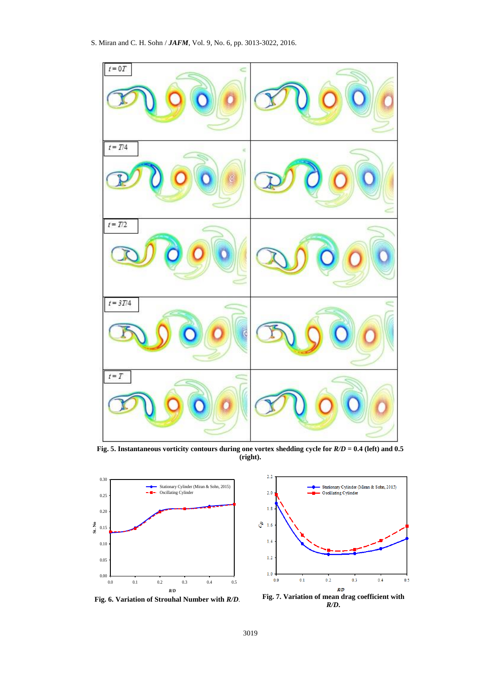

**Fig. 5. Instantaneous vorticity contours during one vortex shedding cycle for** *R/D* **= 0.4 (left) and 0.5 (right).**



**Fig. 6. Variation of Strouhal Number with** *R/D*.



*R/D***.**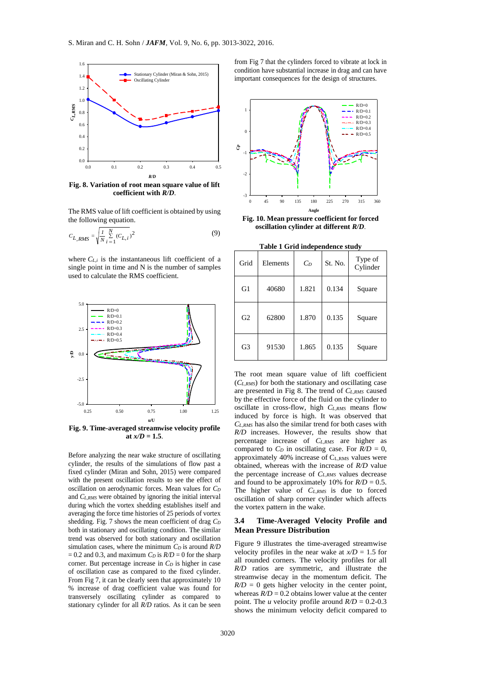

**Fig. 8. Variation of root mean square value of lift coefficient with** *R/D*.

The RMS value of lift coefficient is obtained by using the following equation.

$$
C_{L,RMS} = \sqrt{\frac{I}{N} \sum_{i=1}^{N} (C_{L,i})^2}
$$
 (9)

where  $C_{L,i}$  is the instantaneous lift coefficient of a single point in time and N is the number of samples used to calculate the RMS coefficient.



**Fig. 9. Time-averaged streamwise velocity profile at**  $x/D = 1.5$ .

Before analyzing the near wake structure of oscillating cylinder, the results of the simulations of flow past a fixed cylinder [\(Miran and Sohn, 2015\)](#page-8-12) were compared with the present oscillation results to see the effect of oscillation on aerodynamic forces. Mean values for *C<sup>D</sup>* and *CL,RMS* were obtained by ignoring the initial interval during which the vortex shedding establishes itself and averaging the force time histories of 25 periods of vortex shedding. Fig. 7 shows the mean coefficient of drag *C<sup>D</sup>* both in stationary and oscillating condition. The similar trend was observed for both stationary and oscillation simulation cases, where the minimum *C<sup>D</sup>* is around *R/D*  $= 0.2$  and 0.3, and maximum *C<sub>D</sub>* is  $R/D = 0$  for the sharp corner. But percentage increase in *C<sup>D</sup>* is higher in case of oscillation case as compared to the fixed cylinder. From Fig 7, it can be clearly seen that approximately 10 % increase of drag coefficient value was found for transversely oscillating cylinder as compared to stationary cylinder for all *R/D* ratios. As it can be seen from Fig 7 that the cylinders forced to vibrate at lock in condition have substantial increase in drag and can have important consequences for the design of structures.



**Fig. 10. Mean pressure coefficient for forced oscillation cylinder at different** *R/D*.

**Table 1 Grid independence study**

| Grid           | Elements | $C_D$ | St. No. | Type of<br>Cylinder |
|----------------|----------|-------|---------|---------------------|
| G1             | 40680    | 1.821 | 0.134   | Square              |
| G <sub>2</sub> | 62800    | 1.870 | 0.135   | Square              |
| G <sub>3</sub> | 91530    | 1.865 | 0.135   | Square              |

The root mean square value of lift coefficient (*CL,RMS*) for both the stationary and oscillating case are presented in Fig 8. The trend of *CL,RMS* caused by the effective force of the fluid on the cylinder to oscillate in cross-flow, high *CL,RMS* means flow induced by force is high. It was observed that *CL,RMS* has also the similar trend for both cases with *R/D* increases. However, the results show that percentage increase of *CL,RMS* are higher as compared to  $C_D$  in oscillating case. For  $R/D = 0$ , approximately  $40\%$  increase of  $C_{LRMS}$  values were obtained, whereas with the increase of *R/D* value the percentage increase of *CL,RMS* values decrease and found to be approximately 10% for  $R/D = 0.5$ . The higher value of *CL,RMS* is due to forced oscillation of sharp corner cylinder which affects the vortex pattern in the wake.

#### **3.4 Time-Averaged Velocity Profile and Mean Pressure Distribution**

Figure 9 illustrates the time-averaged streamwise velocity profiles in the near wake at  $x/D = 1.5$  for all rounded corners. The velocity profiles for all *R/D* ratios are symmetric, and illustrate the streamwise decay in the momentum deficit. The  $R/D = 0$  gets higher velocity in the center point, whereas  $R/D = 0.2$  obtains lower value at the center point. The *u* velocity profile around *R/D* = 0.2-0.3 shows the minimum velocity deficit compared to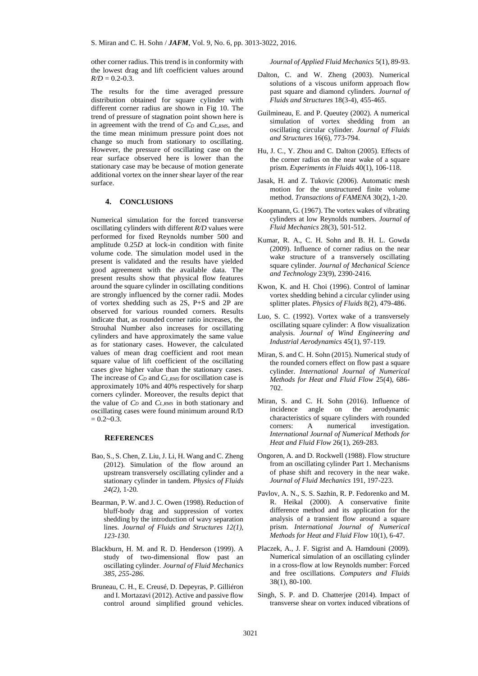other corner radius. This trend is in conformity with the lowest drag and lift coefficient values around  $R/D = 0.2 - 0.3$ .

The results for the time averaged pressure distribution obtained for square cylinder with different corner radius are shown in Fig 10. The trend of pressure of stagnation point shown here is in agreement with the trend of *C<sup>D</sup>* and *CL,RMS*, and the time mean minimum pressure point does not change so much from stationary to oscillating. However, the pressure of oscillating case on the rear surface observed here is lower than the stationary case may be because of motion generate additional vortex on the inner shear layer of the rear surface.

#### **4. CONCLUSIONS**

Numerical simulation for the forced transverse oscillating cylinders with different *R/D* values were performed for fixed Reynolds number 500 and amplitude 0.25*D* at lock-in condition with finite volume code. The simulation model used in the present is validated and the results have yielded good agreement with the available data. The present results show that physical flow features around the square cylinder in oscillating conditions are strongly influenced by the corner radii. Modes of vortex shedding such as 2S, P+S and 2P are observed for various rounded corners. Results indicate that, as rounded corner ratio increases, the Strouhal Number also increases for oscillating cylinders and have approximately the same value as for stationary cases. However, the calculated values of mean drag coefficient and root mean square value of lift coefficient of the oscillating cases give higher value than the stationary cases. The increase of *C<sup>D</sup>* and *CL,RMS* for oscillation case is approximately 10% and 40% respectively for sharp corners cylinder. Moreover, the results depict that the value of *C<sup>D</sup>* and *CL,RMS* in both stationary and oscillating cases were found minimum around R/D  $= 0.2 - 0.3$ .

# **REFERENCES**

- <span id="page-8-16"></span>Bao, S., S. Chen, Z. Liu, J. Li, H. Wang and C. Zheng (2012). Simulation of the flow around an upstream transversely oscillating cylinder and a stationary cylinder in tandem. *Physics of Fluids 24(2),* 1-20*.*
- <span id="page-8-3"></span>Bearman, P. W. and J. C. Owen (1998). Reduction of bluff-body drag and suppression of vortex shedding by the introduction of wavy separation lines. *Journal of Fluids and Structures 12(1), 123-130*.
- <span id="page-8-4"></span>Blackburn, H. M. and R. D. Henderson (1999). A study of two-dimensional flow past an oscillating cylinder. *Journal of Fluid Mechanics 385, 255-286*.
- <span id="page-8-10"></span>Bruneau, C. H., E. Creusé, D. Depeyras, P. Gilliéron and I. Mortazavi (2012). Active and passive flow control around simplified ground vehicles.

*Journal of Applied Fluid Mechanics* 5(1), 89-93.

- <span id="page-8-7"></span>Dalton, C. and W. Zheng (2003). Numerical solutions of a viscous uniform approach flow past square and diamond cylinders. *Journal of Fluids and Structures* 18(3-4), 455-465.
- <span id="page-8-6"></span>Guilmineau, E. and P. Queutey (2002). A numerical simulation of vortex shedding from an oscillating circular cylinder. *Journal of Fluids and Structures* 16(6), 773-794.
- <span id="page-8-8"></span>Hu, J. C., Y. Zhou and C. Dalton (2005). Effects of the corner radius on the near wake of a square prism. *Experiments in Fluids* 40(1), 106-118.
- <span id="page-8-14"></span>Jasak, H. and Z. Tukovic (2006). Automatic mesh motion for the unstructured finite volume method. *Transactions of FAMENA* 30(2), 1-20.
- <span id="page-8-15"></span>Koopmann, G. (1967). The vortex wakes of vibrating cylinders at low Reynolds numbers. *Journal of Fluid Mechanics* 28(3), 501-512.
- <span id="page-8-9"></span>Kumar, R. A., C. H. Sohn and B. H. L. Gowda (2009). Influence of corner radius on the near wake structure of a transversely oscillating square cylinder. *Journal of Mechanical Science and Technology* 23(9), 2390-2416.
- <span id="page-8-2"></span>Kwon, K. and H. Choi (1996). Control of laminar vortex shedding behind a circular cylinder using splitter plates. *Physics of Fluids* 8(2), 479-486.
- <span id="page-8-1"></span>Luo, S. C. (1992). Vortex wake of a transversely oscillating square cylinder: A flow visualization analysis. *Journal of Wind Engineering and Industrial Aerodynamics* 45(1), 97-119.
- <span id="page-8-12"></span>Miran, S. and C. H. Sohn (2015). Numerical study of the rounded corners effect on flow past a square cylinder. *International Journal of Numerical Methods for Heat and Fluid Flow* 25(4), 686- 702.
- <span id="page-8-13"></span>Miran, S. and C. H. Sohn (2016). Influence of incidence angle on the aerodynamic characteristics of square cylinders with rounded corners: A numerical investigation. *International Journal of Numerical Methods for Heat and Fluid Flow* 26(1), 269-283.
- <span id="page-8-0"></span>Ongoren, A. and D. Rockwell (1988). Flow structure from an oscillating cylinder Part 1. Mechanisms of phase shift and recovery in the near wake. *Journal of Fluid Mechanics* 191, 197-223.
- <span id="page-8-5"></span>Pavlov, A. N., S. S. Sazhin, R. P. Fedorenko and M. R. Heikal (2000). A conservative finite difference method and its application for the analysis of a transient flow around a square prism. *International Journal of Numerical Methods for Heat and Fluid Flow* 10(1), 6-47.
- <span id="page-8-17"></span>Placzek, A., J. F. Sigrist and A. Hamdouni (2009). Numerical simulation of an oscillating cylinder in a cross-flow at low Reynolds number: Forced and free oscillations. *Computers and Fluids* 38(1), 80-100.
- <span id="page-8-11"></span>Singh, S. P. and D. Chatterjee (2014). Impact of transverse shear on vortex induced vibrations of